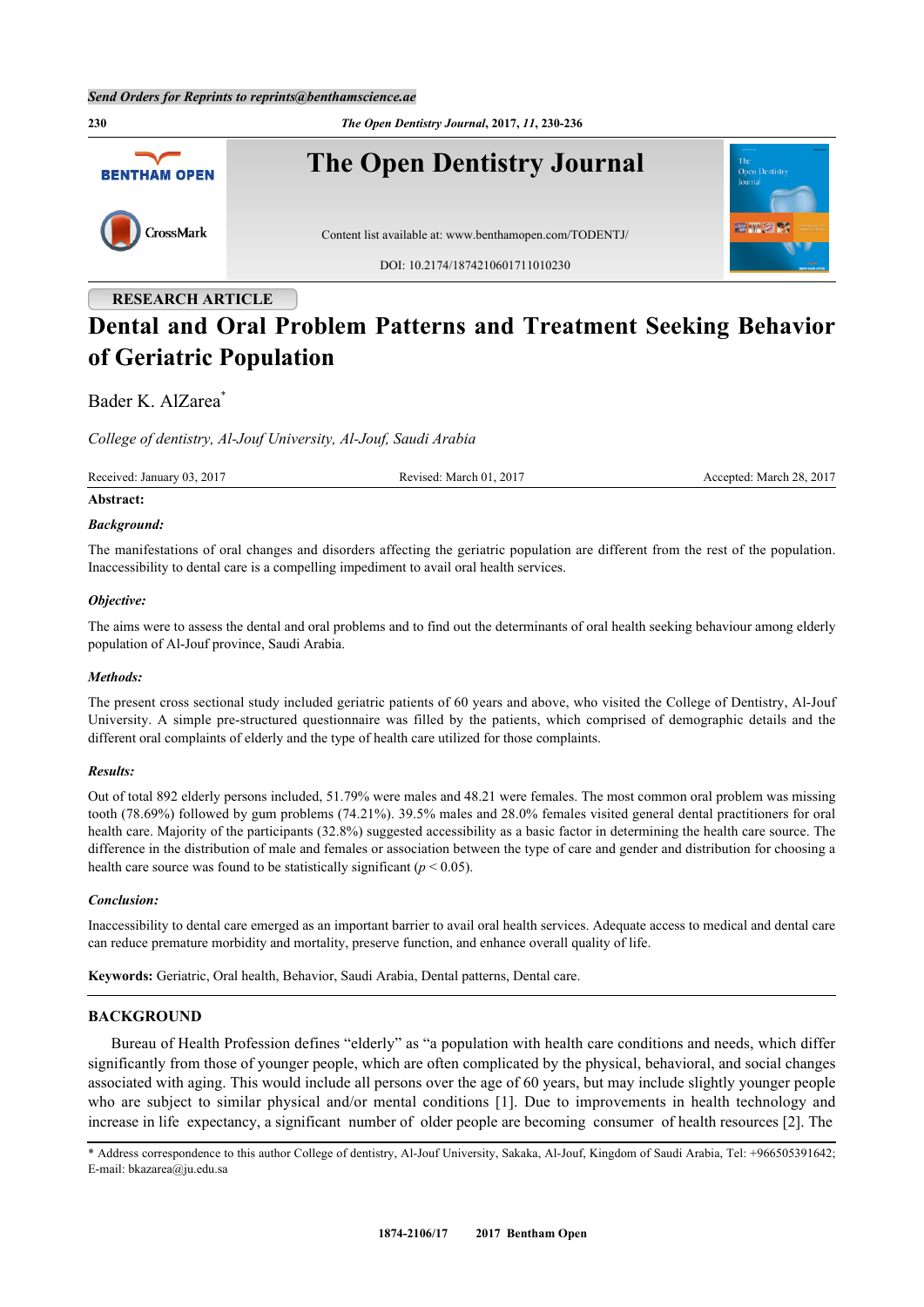**230** *The Open Dentistry Journal***, 2017,** *11***, 230-236 The Open Dentistry Journal BENTHAM OPEN** CrossMark Content list available at: [www.benthamopen.com/TODENTJ/](http://www.benthamopen.com/TODENTJ/) DOI: [10.2174/1874210601711010230](http://dx.doi.org/10.2174/1874210601711010230) **RESEARCH ARTICLE**

# **Dental and Oral Problem Patterns and Treatment Seeking Behavior of Geriatric Population**

# Bader K. AlZarea<sup>[\\*](#page-0-0)</sup>

*College of dentistry, Al-Jouf University, Al-Jouf, Saudi Arabia*

Received: January 03, 2017 Revised: March 01, 2017 Accepted: March 28, 2017

## **Abstract:**

#### *Background:*

The manifestations of oral changes and disorders affecting the geriatric population are different from the rest of the population. Inaccessibility to dental care is a compelling impediment to avail oral health services.

## *Objective:*

The aims were to assess the dental and oral problems and to find out the determinants of oral health seeking behaviour among elderly population of Al-Jouf province, Saudi Arabia.

## *Methods:*

The present cross sectional study included geriatric patients of 60 years and above, who visited the College of Dentistry, Al-Jouf University. A simple pre-structured questionnaire was filled by the patients, which comprised of demographic details and the different oral complaints of elderly and the type of health care utilized for those complaints.

## *Results:*

Out of total 892 elderly persons included, 51.79% were males and 48.21 were females. The most common oral problem was missing tooth (78.69%) followed by gum problems (74.21%). 39.5% males and 28.0% females visited general dental practitioners for oral health care. Majority of the participants (32.8%) suggested accessibility as a basic factor in determining the health care source. The difference in the distribution of male and females or association between the type of care and gender and distribution for choosing a health care source was found to be statistically significant ( $p < 0.05$ ).

#### *Conclusion:*

Inaccessibility to dental care emerged as an important barrier to avail oral health services. Adequate access to medical and dental care can reduce premature morbidity and mortality, preserve function, and enhance overall quality of life.

**Keywords:** Geriatric, Oral health, Behavior, Saudi Arabia, Dental patterns, Dental care.

## **BACKGROUND**

Bureau of Health Profession defines "elderly" as "a population with health care conditions and needs, which differ significantly from those of younger people, which are often complicated by the physical, behavioral, and social changes associated with aging. This would include all persons over the age of 60 years, but may include slightly younger people whoare subject to similar physical and/or mental conditions [[1\]](#page-4-0). Due to improvements in health technology and increase in life expectancy, a significant number of older people are becoming consumer of health resources [[2\]](#page-4-1). The

<span id="page-0-0"></span>\* Address correspondence to this author College of dentistry, Al-Jouf University, Sakaka, Al-Jouf, Kingdom of Saudi Arabia, Tel: +966505391642; E-mail: [bkazarea@ju.edu.sa](mailto:bkazarea@ju.edu.sa)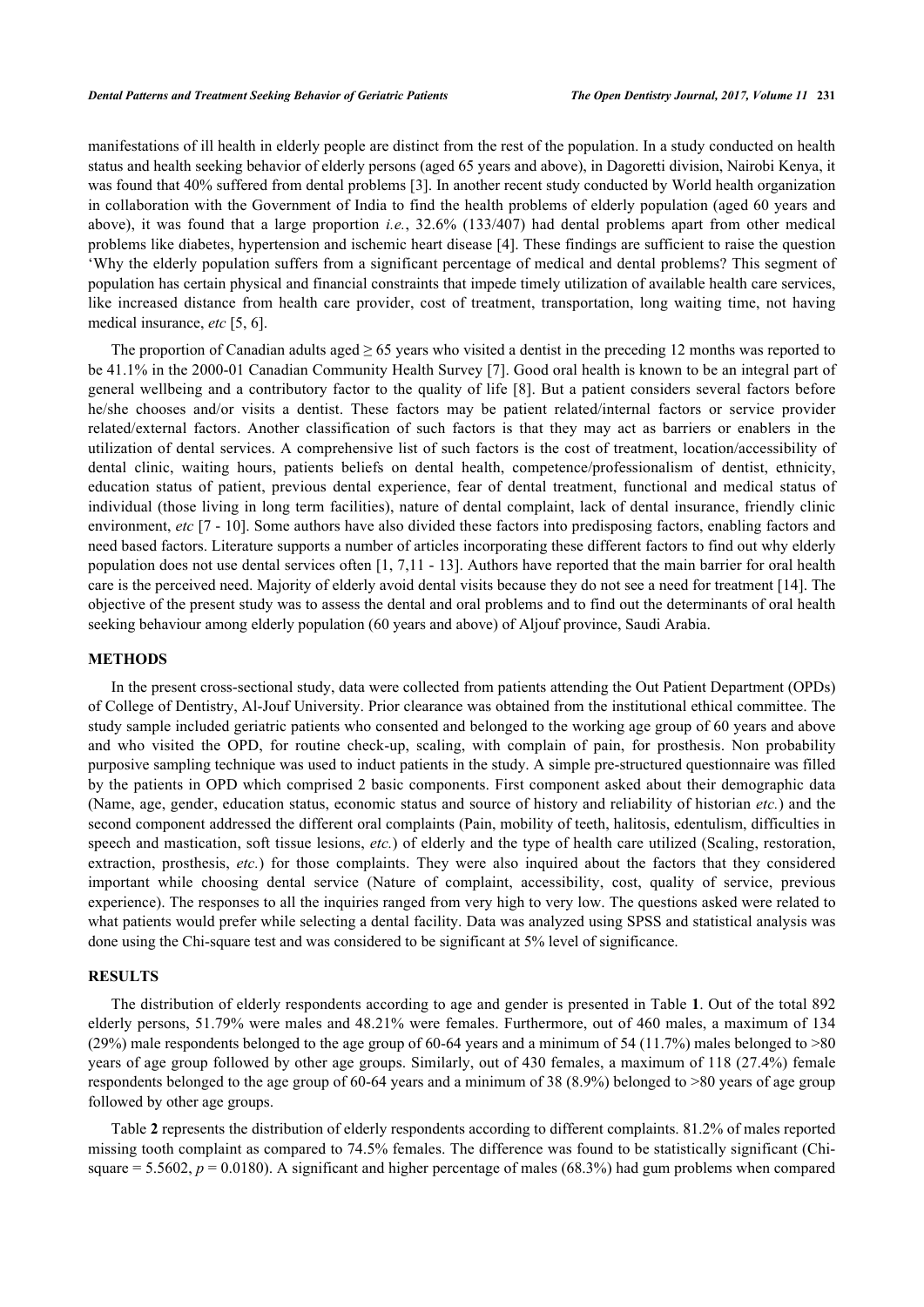manifestations of ill health in elderly people are distinct from the rest of the population. In a study conducted on health status and health seeking behavior of elderly persons (aged 65 years and above), in Dagoretti division, Nairobi Kenya, it was found that 40% suffered from dental problems [[3\]](#page-4-2). In another recent study conducted by World health organization in collaboration with the Government of India to find the health problems of elderly population (aged 60 years and above), it was found that a large proportion *i.e.*, 32.6% (133/407) had dental problems apart from other medical problems like diabetes, hypertension and ischemic heart disease [[4\]](#page-4-3). These findings are sufficient to raise the question 'Why the elderly population suffers from a significant percentage of medical and dental problems? This segment of population has certain physical and financial constraints that impede timely utilization of available health care services, like increased distance from health care provider, cost of treatment, transportation, long waiting time, not having medical insurance, *etc* [[5,](#page-4-4) [6\]](#page-4-5).

The proportion of Canadian adults aged  $\geq 65$  years who visited a dentist in the preceding 12 months was reported to be 41.1% in the 2000-01 Canadian Community Health Survey [\[7](#page-4-6)]. Good oral health is known to be an integral part of general wellbeing and a contributory factor to the quality of life [[8](#page-5-0)]. But a patient considers several factors before he/she chooses and/or visits a dentist. These factors may be patient related/internal factors or service provider related/external factors. Another classification of such factors is that they may act as barriers or enablers in the utilization of dental services. A comprehensive list of such factors is the cost of treatment, location/accessibility of dental clinic, waiting hours, patients beliefs on dental health, competence/professionalism of dentist, ethnicity, education status of patient, previous dental experience, fear of dental treatment, functional and medical status of individual (those living in long term facilities), nature of dental complaint, lack of dental insurance, friendly clinic environment, *etc* [\[7](#page-4-6) - [10](#page-5-1)]. Some authors have also divided these factors into predisposing factors, enabling factors and need based factors. Literature supports a number of articles incorporating these different factors to find out why elderly population does not use dental services often [[1,](#page-4-0) [7](#page-4-6),[11](#page-5-2) - [13\]](#page-5-3). Authors have reported that the main barrier for oral health care is the perceived need. Majority of elderly avoid dental visits because they do not see a need for treatment [[14\]](#page-5-4). The objective of the present study was to assess the dental and oral problems and to find out the determinants of oral health seeking behaviour among elderly population (60 years and above) of Aljouf province, Saudi Arabia.

## **METHODS**

In the present cross-sectional study, data were collected from patients attending the Out Patient Department (OPDs) of College of Dentistry, Al-Jouf University. Prior clearance was obtained from the institutional ethical committee. The study sample included geriatric patients who consented and belonged to the working age group of 60 years and above and who visited the OPD, for routine check-up, scaling, with complain of pain, for prosthesis. Non probability purposive sampling technique was used to induct patients in the study. A simple pre-structured questionnaire was filled by the patients in OPD which comprised 2 basic components. First component asked about their demographic data (Name, age, gender, education status, economic status and source of history and reliability of historian *etc.*) and the second component addressed the different oral complaints (Pain, mobility of teeth, halitosis, edentulism, difficulties in speech and mastication, soft tissue lesions, *etc.*) of elderly and the type of health care utilized (Scaling, restoration, extraction, prosthesis, *etc.*) for those complaints. They were also inquired about the factors that they considered important while choosing dental service (Nature of complaint, accessibility, cost, quality of service, previous experience). The responses to all the inquiries ranged from very high to very low. The questions asked were related to what patients would prefer while selecting a dental facility. Data was analyzed using SPSS and statistical analysis was done using the Chi-square test and was considered to be significant at 5% level of significance.

## **RESULTS**

The distribution of elderly respondents according to age and gender is presented in Table **[1](#page-2-0)**. Out of the total 892 elderly persons, 51.79% were males and 48.21% were females. Furthermore, out of 460 males, a maximum of 134 (29%) male respondents belonged to the age group of 60-64 years and a minimum of 54 (11.7%) males belonged to >80 years of age group followed by other age groups. Similarly, out of 430 females, a maximum of 118 (27.4%) female respondents belonged to the age group of 60-64 years and a minimum of 38 (8.9%) belonged to >80 years of age group followed by other age groups.

Table **[2](#page-2-1)** represents the distribution of elderly respondents according to different complaints. 81.2% of males reported missing tooth complaint as compared to 74.5% females. The difference was found to be statistically significant (Chisquare  $= 5.5602$ ,  $p = 0.0180$ . A significant and higher percentage of males (68.3%) had gum problems when compared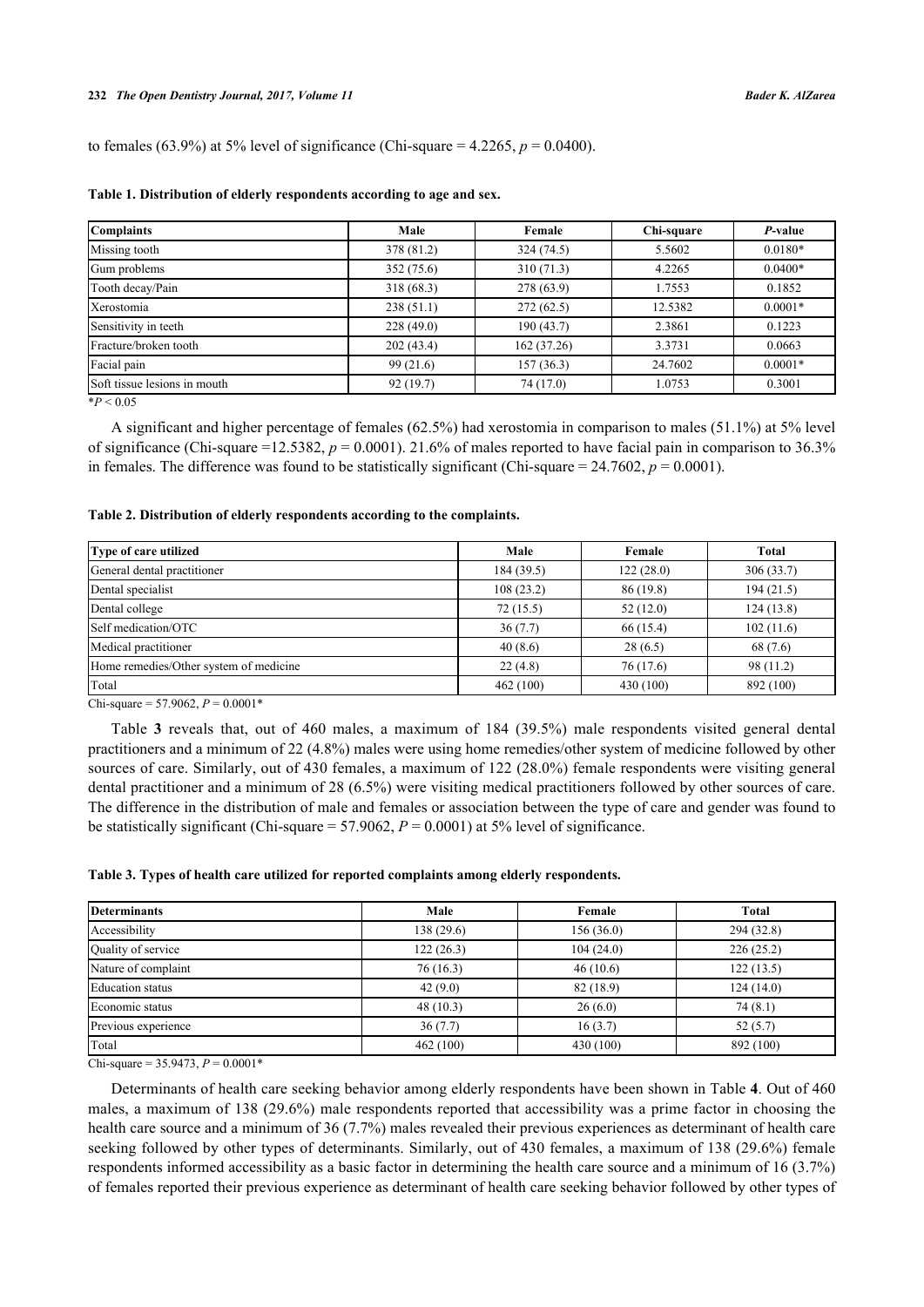to females (63.9%) at 5% level of significance (Chi-square =  $4.2265$ ,  $p = 0.0400$ ).

| <b>Complaints</b>            | Male       | Female      | Chi-square | P-value   |
|------------------------------|------------|-------------|------------|-----------|
| Missing tooth                | 378 (81.2) | 324 (74.5)  | 5.5602     | $0.0180*$ |
| Gum problems                 | 352(75.6)  | 310(71.3)   | 4.2265     | $0.0400*$ |
| Tooth decay/Pain             | 318(68.3)  | 278 (63.9)  | 1.7553     | 0.1852    |
| Xerostomia                   | 238(51.1)  | 272(62.5)   | 12.5382    | $0.0001*$ |
| Sensitivity in teeth         | 228(49.0)  | 190(43.7)   | 2.3861     | 0.1223    |
| Fracture/broken tooth        | 202(43.4)  | 162 (37.26) | 3.3731     | 0.0663    |
| Facial pain                  | 99(21.6)   | 157(36.3)   | 24.7602    | $0.0001*$ |
| Soft tissue lesions in mouth | 92(19.7)   | 74 (17.0)   | 1.0753     | 0.3001    |

## <span id="page-2-0"></span>**Table 1. Distribution of elderly respondents according to age and sex.**

 $*P < 0.05$ 

A significant and higher percentage of females (62.5%) had xerostomia in comparison to males (51.1%) at 5% level of significance (Chi-square =12.5382,  $p = 0.0001$ ). 21.6% of males reported to have facial pain in comparison to 36.3% in females. The difference was found to be statistically significant (Chi-square  $= 24.7602$ ,  $p = 0.0001$ ).

#### <span id="page-2-1"></span>**Table 2. Distribution of elderly respondents according to the complaints.**

| Type of care utilized                  | Male      | Female    | <b>Total</b> |
|----------------------------------------|-----------|-----------|--------------|
| General dental practitioner            | 184(39.5) | 122(28.0) | 306(33.7)    |
| Dental specialist                      | 108(23.2) | 86(19.8)  | 194(21.5)    |
| Dental college                         | 72(15.5)  | 52(12.0)  | 124(13.8)    |
| Self medication/OTC                    | 36(7.7)   | 66(15.4)  | 102(11.6)    |
| Medical practitioner                   | 40(8.6)   | 28(6.5)   | 68 (7.6)     |
| Home remedies/Other system of medicine | 22(4.8)   | 76 (17.6) | 98(11.2)     |
| Total                                  | 462(100)  | 430 (100) | 892 (100)    |

Chi-square = 57.9062,  $P = 0.0001*$ 

Table**3** reveals that, out of 460 males, a maximum of 184 (39.5%) male respondents visited general dental practitioners and a minimum of 22 (4.8%) males were using home remedies/other system of medicine followed by other sources of care. Similarly, out of 430 females, a maximum of 122 (28.0%) female respondents were visiting general dental practitioner and a minimum of 28 (6.5%) were visiting medical practitioners followed by other sources of care. The difference in the distribution of male and females or association between the type of care and gender was found to be statistically significant (Chi-square  $= 57.9062$ ,  $P = 0.0001$ ) at 5% level of significance.

#### <span id="page-2-2"></span>**Table 3. Types of health care utilized for reported complaints among elderly respondents.**

| <b>Determinants</b>     | Male      | Female    | Total      |
|-------------------------|-----------|-----------|------------|
| Accessibility           | 138(29.6) | 156(36.0) | 294 (32.8) |
| Quality of service      | 122(26.3) | 104(24.0) | 226(25.2)  |
| Nature of complaint     | 76(16.3)  | 46(10.6)  | 122(13.5)  |
| <b>Education</b> status | 42(9.0)   | 82(18.9)  | 124(14.0)  |
| Economic status         | 48(10.3)  | 26(6.0)   | 74(8.1)    |
| Previous experience     | 36(7.7)   | 16(3.7)   | 52(5.7)    |
| Total                   | 462 (100) | 430 (100) | 892 (100)  |

Chi-square =  $35.9473$ ,  $P = 0.0001*$ 

Determinants of health care seeking behavior among elderly respondents have been shown in Table **[4](#page-3-0)**. Out of 460 males, a maximum of 138 (29.6%) male respondents reported that accessibility was a prime factor in choosing the health care source and a minimum of 36 (7.7%) males revealed their previous experiences as determinant of health care seeking followed by other types of determinants. Similarly, out of 430 females, a maximum of 138 (29.6%) female respondents informed accessibility as a basic factor in determining the health care source and a minimum of 16 (3.7%) of females reported their previous experience as determinant of health care seeking behavior followed by other types of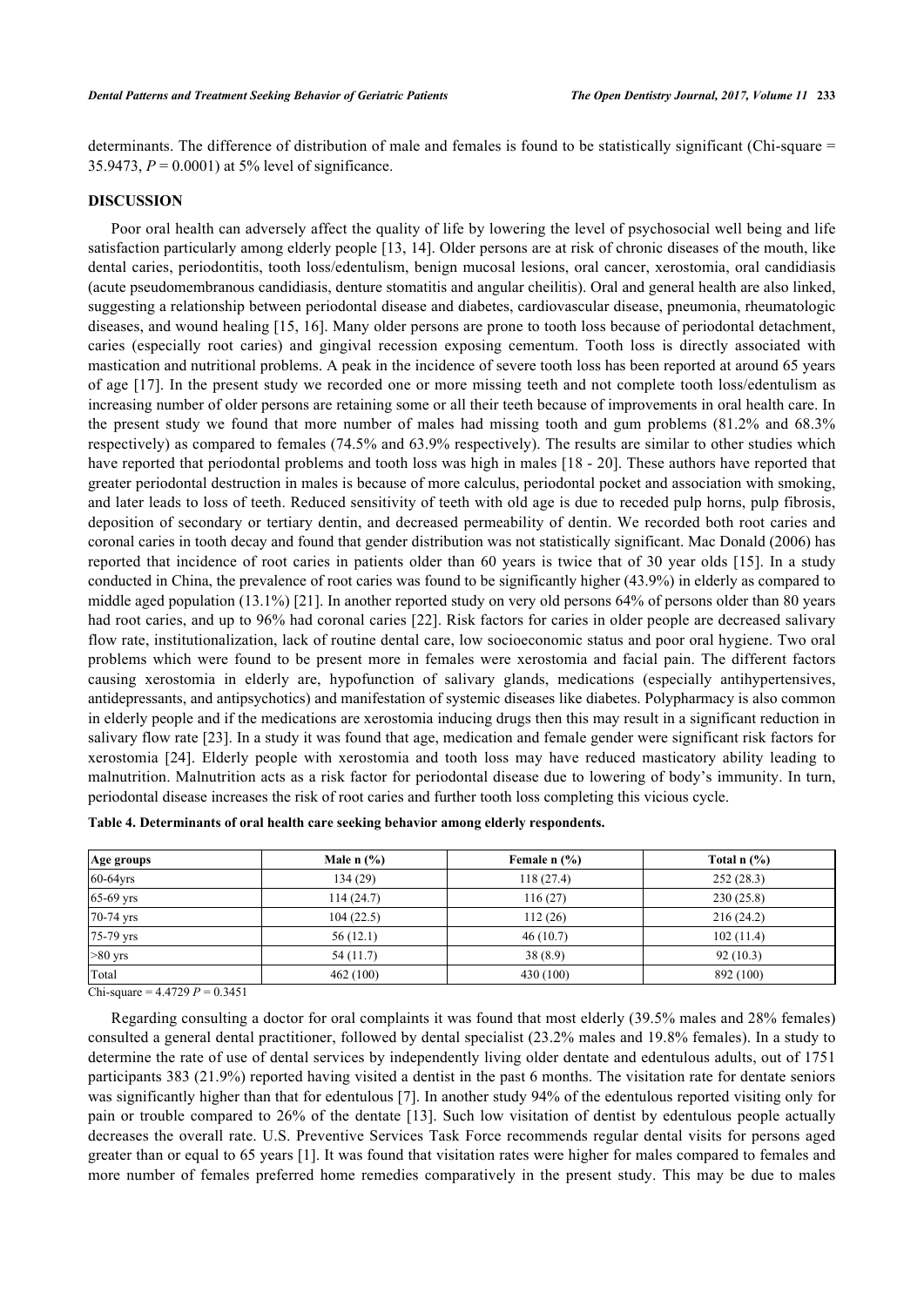determinants. The difference of distribution of male and females is found to be statistically significant (Chi-square = 35.9473,  $P = 0.0001$ ) at 5% level of significance.

## **DISCUSSION**

Poor oral health can adversely affect the quality of life by lowering the level of psychosocial well being and life satisfaction particularly among elderly people [\[13](#page-5-3), [14\]](#page-5-4). Older persons are at risk of chronic diseases of the mouth, like dental caries, periodontitis, tooth loss/edentulism, benign mucosal lesions, oral cancer, xerostomia, oral candidiasis (acute pseudomembranous candidiasis, denture stomatitis and angular cheilitis). Oral and general health are also linked, suggesting a relationship between periodontal disease and diabetes, cardiovascular disease, pneumonia, rheumatologic diseases, and wound healing [[15](#page-5-5), [16\]](#page-5-6). Many older persons are prone to tooth loss because of periodontal detachment, caries (especially root caries) and gingival recession exposing cementum. Tooth loss is directly associated with mastication and nutritional problems. A peak in the incidence of severe tooth loss has been reported at around 65 years of age [[17\]](#page-5-7). In the present study we recorded one or more missing teeth and not complete tooth loss/edentulism as increasing number of older persons are retaining some or all their teeth because of improvements in oral health care. In the present study we found that more number of males had missing tooth and gum problems (81.2% and 68.3% respectively) as compared to females (74.5% and 63.9% respectively). The results are similar to other studies which have reported that periodontal problems and tooth loss was high in males [\[18](#page-5-8) - [20](#page-5-9)]. These authors have reported that greater periodontal destruction in males is because of more calculus, periodontal pocket and association with smoking, and later leads to loss of teeth. Reduced sensitivity of teeth with old age is due to receded pulp horns, pulp fibrosis, deposition of secondary or tertiary dentin, and decreased permeability of dentin. We recorded both root caries and coronal caries in tooth decay and found that gender distribution was not statistically significant. Mac Donald (2006) has reported that incidence of root caries in patients older than 60 years is twice that of 30 year olds [\[15](#page-5-5)]. In a study conducted in China, the prevalence of root caries was found to be significantly higher (43.9%) in elderly as compared to middle aged population (13.1%) [[21\]](#page-5-10). In another reported study on very old persons 64% of persons older than 80 years had root caries, and up to 96% had coronal caries [[22\]](#page-5-11). Risk factors for caries in older people are decreased salivary flow rate, institutionalization, lack of routine dental care, low socioeconomic status and poor oral hygiene. Two oral problems which were found to be present more in females were xerostomia and facial pain. The different factors causing xerostomia in elderly are, hypofunction of salivary glands, medications (especially antihypertensives, antidepressants, and antipsychotics) and manifestation of systemic diseases like diabetes. Polypharmacy is also common in elderly people and if the medications are xerostomia inducing drugs then this may result in a significant reduction in salivary flow rate [[23](#page-5-12)]. In a study it was found that age, medication and female gender were significant risk factors for xerostomia[[24\]](#page-5-13). Elderly people with xerostomia and tooth loss may have reduced masticatory ability leading to malnutrition. Malnutrition acts as a risk factor for periodontal disease due to lowering of body's immunity. In turn, periodontal disease increases the risk of root caries and further tooth loss completing this vicious cycle.

<span id="page-3-0"></span>

| Table 4. Determinants of oral health care seeking behavior among elderly respondents. |
|---------------------------------------------------------------------------------------|
|---------------------------------------------------------------------------------------|

| Age groups  | Male $n$ $\frac{9}{6}$ | Female $n$ $(\%)$ | Total $n$ $(\%)$ |
|-------------|------------------------|-------------------|------------------|
| $60-64$ yrs | 134 (29)               | 118(27.4)         | 252(28.3)        |
| 65-69 yrs   | 114(24.7)              | 116(27)           | 230(25.8)        |
| 70-74 yrs   | 104(22.5)              | 112(26)           | 216(24.2)        |
| 75-79 yrs   | 56(12.1)               | 46(10.7)          | 102(11.4)        |
| $>80$ yrs   | 54(11.7)               | 38(8.9)           | 92(10.3)         |
| Total       | 462 (100)              | 430 (100)         | 892 (100)        |

 $Chi-square = 4.4729 P = 0.3451$ 

Regarding consulting a doctor for oral complaints it was found that most elderly (39.5% males and 28% females) consulted a general dental practitioner, followed by dental specialist (23.2% males and 19.8% females). In a study to determine the rate of use of dental services by independently living older dentate and edentulous adults, out of 1751 participants 383 (21.9%) reported having visited a dentist in the past 6 months. The visitation rate for dentate seniors was significantly higher than that for edentulous [[7\]](#page-4-6). In another study 94% of the edentulous reported visiting only for pain or trouble compared to 26% of the dentate [[13\]](#page-5-3). Such low visitation of dentist by edentulous people actually decreases the overall rate. U.S. Preventive Services Task Force recommends regular dental visits for persons aged greater than or equal to 65 years [\[1](#page-4-0)]. It was found that visitation rates were higher for males compared to females and more number of females preferred home remedies comparatively in the present study. This may be due to males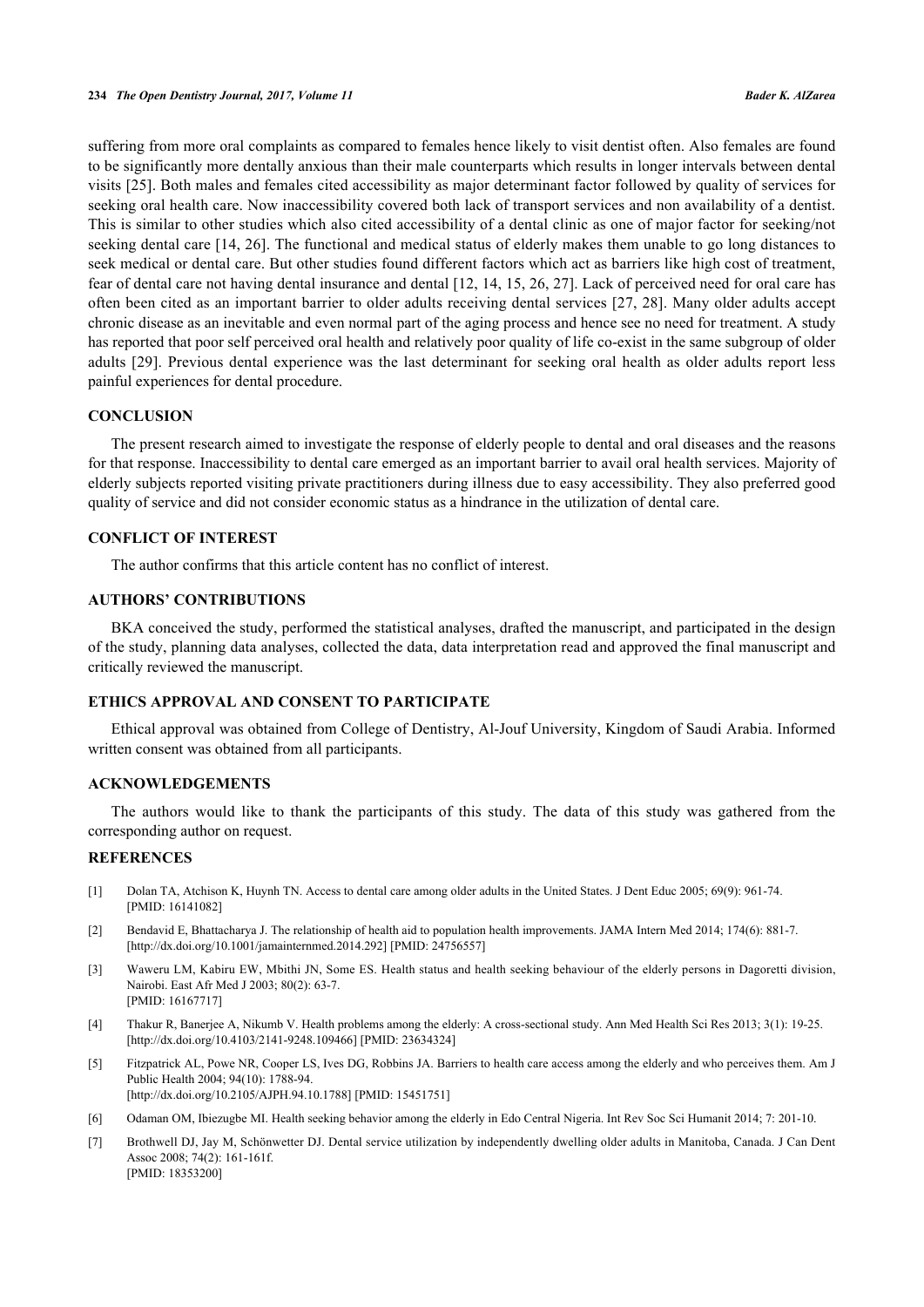suffering from more oral complaints as compared to females hence likely to visit dentist often. Also females are found to be significantly more dentally anxious than their male counterparts which results in longer intervals between dental visits [[25\]](#page-5-14). Both males and females cited accessibility as major determinant factor followed by quality of services for seeking oral health care. Now inaccessibility covered both lack of transport services and non availability of a dentist. This is similar to other studies which also cited accessibility of a dental clinic as one of major factor for seeking/not seeking dental care [\[14](#page-5-4), [26](#page-5-15)]. The functional and medical status of elderly makes them unable to go long distances to seek medical or dental care. But other studies found different factors which act as barriers like high cost of treatment, fear of dental care not having dental insurance and dental [\[12,](#page-5-16) [14,](#page-5-4) [15](#page-5-5), [26](#page-5-15), [27\]](#page-5-17). Lack of perceived need for oral care has often been cited as an important barrier to older adults receiving dental services [[27](#page-5-17), [28](#page-5-18)]. Many older adults accept chronic disease as an inevitable and even normal part of the aging process and hence see no need for treatment. A study has reported that poor self perceived oral health and relatively poor quality of life co-exist in the same subgroup of older adults [\[29\]](#page-6-0). Previous dental experience was the last determinant for seeking oral health as older adults report less painful experiences for dental procedure.

## **CONCLUSION**

The present research aimed to investigate the response of elderly people to dental and oral diseases and the reasons for that response. Inaccessibility to dental care emerged as an important barrier to avail oral health services. Majority of elderly subjects reported visiting private practitioners during illness due to easy accessibility. They also preferred good quality of service and did not consider economic status as a hindrance in the utilization of dental care.

# **CONFLICT OF INTEREST**

The author confirms that this article content has no conflict of interest.

## **AUTHORS' CONTRIBUTIONS**

BKA conceived the study, performed the statistical analyses, drafted the manuscript, and participated in the design of the study, planning data analyses, collected the data, data interpretation read and approved the final manuscript and critically reviewed the manuscript.

## **ETHICS APPROVAL AND CONSENT TO PARTICIPATE**

Ethical approval was obtained from College of Dentistry, Al-Jouf University, Kingdom of Saudi Arabia. Informed written consent was obtained from all participants.

## **ACKNOWLEDGEMENTS**

The authors would like to thank the participants of this study. The data of this study was gathered from the corresponding author on request.

## **REFERENCES**

- <span id="page-4-0"></span>[1] Dolan TA, Atchison K, Huynh TN. Access to dental care among older adults in the United States. J Dent Educ 2005; 69(9): 961-74. [PMID: [16141082\]](http://www.ncbi.nlm.nih.gov/pubmed/16141082)
- <span id="page-4-1"></span>[2] Bendavid E, Bhattacharya J. The relationship of health aid to population health improvements. JAMA Intern Med 2014; 174(6): 881-7. [\[http://dx.doi.org/10.1001/jamainternmed.2014.292\]](http://dx.doi.org/10.1001/jamainternmed.2014.292) [PMID: [24756557](http://www.ncbi.nlm.nih.gov/pubmed/24756557)]
- <span id="page-4-2"></span>[3] Waweru LM, Kabiru EW, Mbithi JN, Some ES. Health status and health seeking behaviour of the elderly persons in Dagoretti division, Nairobi. East Afr Med J 2003; 80(2): 63-7. [PMID: [16167717\]](http://www.ncbi.nlm.nih.gov/pubmed/16167717)
- <span id="page-4-3"></span>[4] Thakur R, Banerjee A, Nikumb V. Health problems among the elderly: A cross-sectional study. Ann Med Health Sci Res 2013; 3(1): 19-25. [\[http://dx.doi.org/10.4103/2141-9248.109466](http://dx.doi.org/10.4103/2141-9248.109466)] [PMID: [23634324](http://www.ncbi.nlm.nih.gov/pubmed/23634324)]
- <span id="page-4-4"></span>[5] Fitzpatrick AL, Powe NR, Cooper LS, Ives DG, Robbins JA. Barriers to health care access among the elderly and who perceives them. Am J Public Health 2004; 94(10): 1788-94. [\[http://dx.doi.org/10.2105/AJPH.94.10.1788\]](http://dx.doi.org/10.2105/AJPH.94.10.1788) [PMID: [15451751](http://www.ncbi.nlm.nih.gov/pubmed/15451751)]
- <span id="page-4-5"></span>[6] Odaman OM, Ibiezugbe MI. Health seeking behavior among the elderly in Edo Central Nigeria. Int Rev Soc Sci Humanit 2014; 7: 201-10.
- <span id="page-4-6"></span>[7] Brothwell DJ, Jay M, Schönwetter DJ. Dental service utilization by independently dwelling older adults in Manitoba, Canada. J Can Dent Assoc 2008; 74(2): 161-161f. [PMID: [18353200\]](http://www.ncbi.nlm.nih.gov/pubmed/18353200)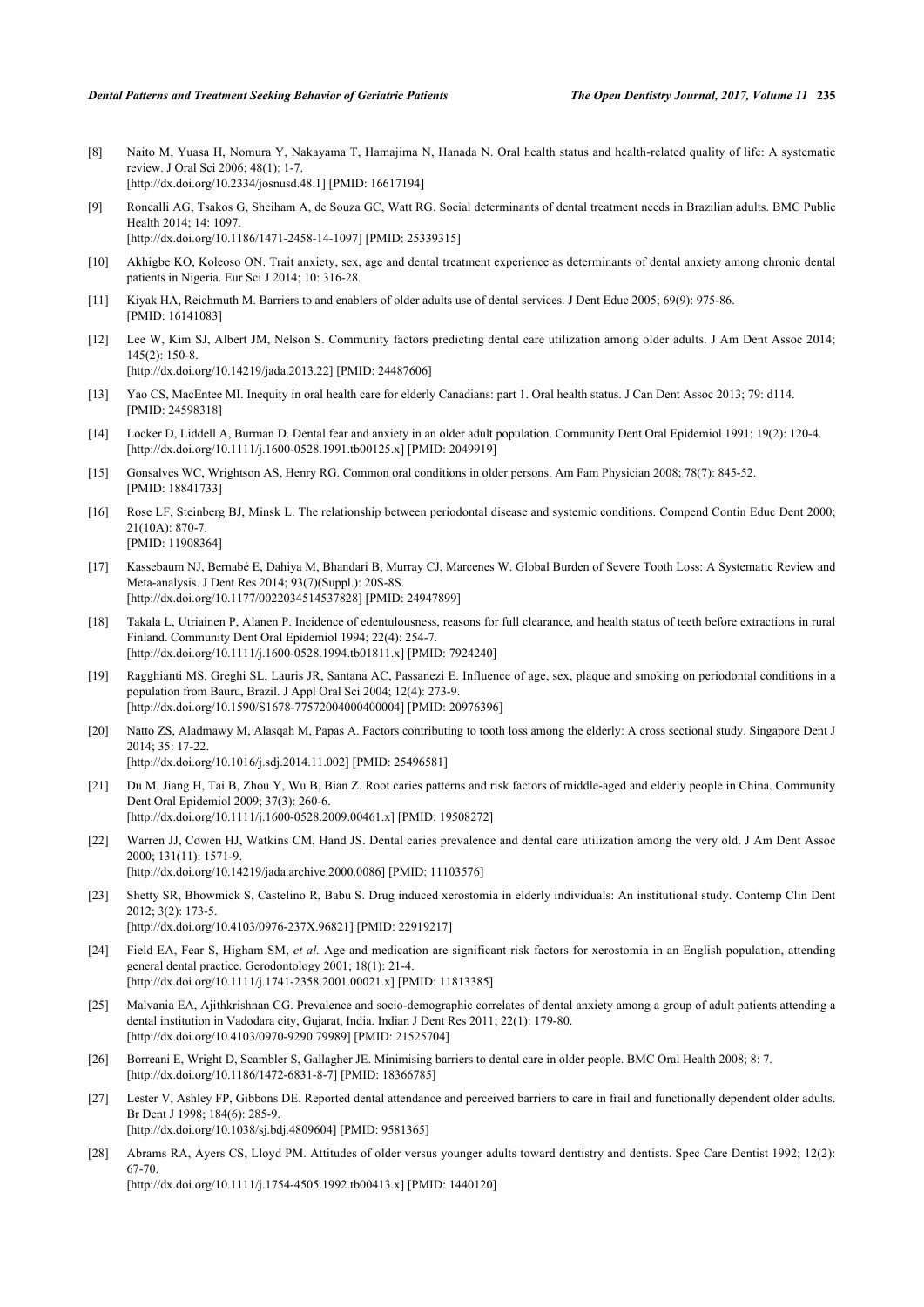- <span id="page-5-0"></span>[8] Naito M, Yuasa H, Nomura Y, Nakayama T, Hamajima N, Hanada N. Oral health status and health-related quality of life: A systematic review. J Oral Sci 2006; 48(1): 1-7. [\[http://dx.doi.org/10.2334/josnusd.48.1](http://dx.doi.org/10.2334/josnusd.48.1)] [PMID: [16617194\]](http://www.ncbi.nlm.nih.gov/pubmed/16617194)
- [9] Roncalli AG, Tsakos G, Sheiham A, de Souza GC, Watt RG. Social determinants of dental treatment needs in Brazilian adults. BMC Public Health 2014; 14: 1097. [\[http://dx.doi.org/10.1186/1471-2458-14-1097\]](http://dx.doi.org/10.1186/1471-2458-14-1097) [PMID: [25339315](http://www.ncbi.nlm.nih.gov/pubmed/25339315)]
- <span id="page-5-1"></span>[10] Akhigbe KO, Koleoso ON. Trait anxiety, sex, age and dental treatment experience as determinants of dental anxiety among chronic dental patients in Nigeria. Eur Sci J 2014; 10: 316-28.
- <span id="page-5-2"></span>[11] Kiyak HA, Reichmuth M. Barriers to and enablers of older adults use of dental services. J Dent Educ 2005; 69(9): 975-86. [PMID: [16141083\]](http://www.ncbi.nlm.nih.gov/pubmed/16141083)
- <span id="page-5-16"></span>[12] Lee W, Kim SJ, Albert JM, Nelson S. Community factors predicting dental care utilization among older adults. J Am Dent Assoc 2014; 145(2): 150-8. [\[http://dx.doi.org/10.14219/jada.2013.22](http://dx.doi.org/10.14219/jada.2013.22)] [PMID: [24487606\]](http://www.ncbi.nlm.nih.gov/pubmed/24487606)
- <span id="page-5-3"></span>[13] Yao CS, MacEntee MI. Inequity in oral health care for elderly Canadians: part 1. Oral health status. J Can Dent Assoc 2013; 79: d114. [PMID: [24598318\]](http://www.ncbi.nlm.nih.gov/pubmed/24598318)
- <span id="page-5-4"></span>[14] Locker D, Liddell A, Burman D. Dental fear and anxiety in an older adult population. Community Dent Oral Epidemiol 1991; 19(2): 120-4. [\[http://dx.doi.org/10.1111/j.1600-0528.1991.tb00125.x\]](http://dx.doi.org/10.1111/j.1600-0528.1991.tb00125.x) [PMID: [2049919](http://www.ncbi.nlm.nih.gov/pubmed/2049919)]
- <span id="page-5-5"></span>[15] Gonsalves WC, Wrightson AS, Henry RG. Common oral conditions in older persons. Am Fam Physician 2008; 78(7): 845-52. [PMID: [18841733\]](http://www.ncbi.nlm.nih.gov/pubmed/18841733)
- <span id="page-5-6"></span>[16] Rose LF, Steinberg BJ, Minsk L. The relationship between periodontal disease and systemic conditions. Compend Contin Educ Dent 2000; 21(10A): 870-7. [PMID: [11908364\]](http://www.ncbi.nlm.nih.gov/pubmed/11908364)
- <span id="page-5-7"></span>[17] Kassebaum NJ, Bernabé E, Dahiya M, Bhandari B, Murray CJ, Marcenes W. Global Burden of Severe Tooth Loss: A Systematic Review and Meta-analysis. J Dent Res 2014; 93(7)(Suppl.): 20S-8S. [\[http://dx.doi.org/10.1177/0022034514537828\]](http://dx.doi.org/10.1177/0022034514537828) [PMID: [24947899](http://www.ncbi.nlm.nih.gov/pubmed/24947899)]
- <span id="page-5-8"></span>[18] Takala L, Utriainen P, Alanen P. Incidence of edentulousness, reasons for full clearance, and health status of teeth before extractions in rural Finland. Community Dent Oral Epidemiol 1994; 22(4): 254-7. [\[http://dx.doi.org/10.1111/j.1600-0528.1994.tb01811.x\]](http://dx.doi.org/10.1111/j.1600-0528.1994.tb01811.x) [PMID: [7924240](http://www.ncbi.nlm.nih.gov/pubmed/7924240)]
- [19] Ragghianti MS, Greghi SL, Lauris JR, Santana AC, Passanezi E. Influence of age, sex, plaque and smoking on periodontal conditions in a population from Bauru, Brazil. J Appl Oral Sci 2004; 12(4): 273-9. [\[http://dx.doi.org/10.1590/S1678-77572004000400004\]](http://dx.doi.org/10.1590/S1678-77572004000400004) [PMID: [20976396](http://www.ncbi.nlm.nih.gov/pubmed/20976396)]
- <span id="page-5-9"></span>[20] Natto ZS, Aladmawy M, Alasqah M, Papas A. Factors contributing to tooth loss among the elderly: A cross sectional study. Singapore Dent J 2014; 35: 17-22.
	- [\[http://dx.doi.org/10.1016/j.sdj.2014.11.002](http://dx.doi.org/10.1016/j.sdj.2014.11.002)] [PMID: [25496581\]](http://www.ncbi.nlm.nih.gov/pubmed/25496581)
- <span id="page-5-10"></span>[21] Du M, Jiang H, Tai B, Zhou Y, Wu B, Bian Z. Root caries patterns and risk factors of middle-aged and elderly people in China. Community Dent Oral Epidemiol 2009; 37(3): 260-6. [\[http://dx.doi.org/10.1111/j.1600-0528.2009.00461.x\]](http://dx.doi.org/10.1111/j.1600-0528.2009.00461.x) [PMID: [19508272](http://www.ncbi.nlm.nih.gov/pubmed/19508272)]
- <span id="page-5-11"></span>[22] Warren JJ, Cowen HJ, Watkins CM, Hand JS. Dental caries prevalence and dental care utilization among the very old. J Am Dent Assoc 2000; 131(11): 1571-9. [\[http://dx.doi.org/10.14219/jada.archive.2000.0086\]](http://dx.doi.org/10.14219/jada.archive.2000.0086) [PMID: [11103576](http://www.ncbi.nlm.nih.gov/pubmed/11103576)]
- <span id="page-5-12"></span>[23] Shetty SR, Bhowmick S, Castelino R, Babu S. Drug induced xerostomia in elderly individuals: An institutional study. Contemp Clin Dent 2012; 3(2): 173-5. [\[http://dx.doi.org/10.4103/0976-237X.96821](http://dx.doi.org/10.4103/0976-237X.96821)] [PMID: [22919217\]](http://www.ncbi.nlm.nih.gov/pubmed/22919217)
- <span id="page-5-13"></span>[24] Field EA, Fear S, Higham SM, *et al.* Age and medication are significant risk factors for xerostomia in an English population, attending general dental practice. Gerodontology 2001; 18(1): 21-4. [\[http://dx.doi.org/10.1111/j.1741-2358.2001.00021.x\]](http://dx.doi.org/10.1111/j.1741-2358.2001.00021.x) [PMID: [11813385](http://www.ncbi.nlm.nih.gov/pubmed/11813385)]
- <span id="page-5-14"></span>[25] Malvania EA, Ajithkrishnan CG. Prevalence and socio-demographic correlates of dental anxiety among a group of adult patients attending a dental institution in Vadodara city, Gujarat, India. Indian J Dent Res 2011; 22(1): 179-80. [\[http://dx.doi.org/10.4103/0970-9290.79989](http://dx.doi.org/10.4103/0970-9290.79989)] [PMID: [21525704](http://www.ncbi.nlm.nih.gov/pubmed/21525704)]
- <span id="page-5-15"></span>[26] Borreani E, Wright D, Scambler S, Gallagher JE. Minimising barriers to dental care in older people. BMC Oral Health 2008; 8: 7. [\[http://dx.doi.org/10.1186/1472-6831-8-7\]](http://dx.doi.org/10.1186/1472-6831-8-7) [PMID: [18366785](http://www.ncbi.nlm.nih.gov/pubmed/18366785)]
- <span id="page-5-17"></span>[27] Lester V, Ashley FP, Gibbons DE. Reported dental attendance and perceived barriers to care in frail and functionally dependent older adults. Br Dent J 1998; 184(6): 285-9. [\[http://dx.doi.org/10.1038/sj.bdj.4809604](http://dx.doi.org/10.1038/sj.bdj.4809604)] [PMID: [9581365\]](http://www.ncbi.nlm.nih.gov/pubmed/9581365)
- <span id="page-5-18"></span>[28] Abrams RA, Ayers CS, Lloyd PM. Attitudes of older versus younger adults toward dentistry and dentists. Spec Care Dentist 1992; 12(2): 67-70. [\[http://dx.doi.org/10.1111/j.1754-4505.1992.tb00413.x\]](http://dx.doi.org/10.1111/j.1754-4505.1992.tb00413.x) [PMID: [1440120](http://www.ncbi.nlm.nih.gov/pubmed/1440120)]